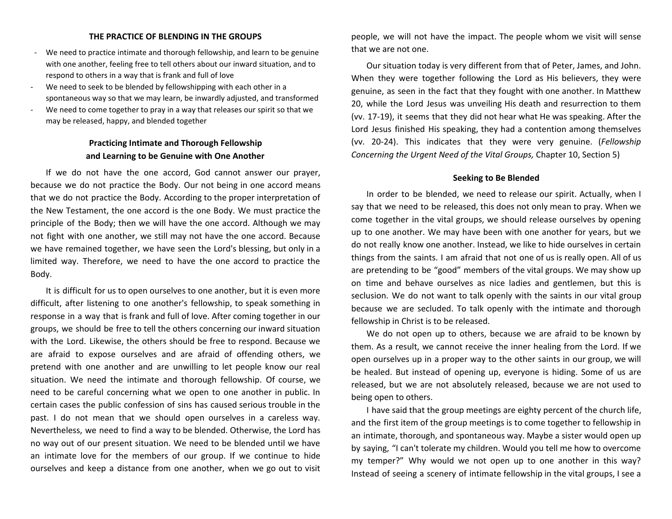### **THE PRACTICE OF BLENDING IN THE GROUPS**

- We need to practice intimate and thorough fellowship, and learn to be genuine with one another, feeling free to tell others about our inward situation, and to respond to others in a way that is frank and full of love
- We need to seek to be blended by fellowshipping with each other in a spontaneous way so that we may learn, be inwardly adjusted, and transformed
- We need to come together to pray in a way that releases our spirit so that we may be released, happy, and blended together

# **Practicing Intimate and Thorough Fellowship and Learning to be Genuine with One Another**

If we do not have the one accord, God cannot answer our prayer, because we do not practice the Body. Our not being in one accord means that we do not practice the Body. According to the proper interpretation of the New Testament, the one accord is the one Body. We must practice the principle of the Body; then we will have the one accord. Although we may not fight with one another, we still may not have the one accord. Because we have remained together, we have seen the Lord's blessing, but only in a limited way. Therefore, we need to have the one accord to practice the Body.

It is difficult for us to open ourselves to one another, but it is even more difficult, after listening to one another's fellowship, to speak something in response in a way that is frank and full of love. After coming together in our groups, we should be free to tell the others concerning our inward situation with the Lord. Likewise, the others should be free to respond. Because we are afraid to expose ourselves and are afraid of offending others, we pretend with one another and are unwilling to let people know our real situation. We need the intimate and thorough fellowship. Of course, we need to be careful concerning what we open to one another in public. In certain cases the public confession of sins has caused serious trouble in the past. I do not mean that we should open ourselves in a careless way. Nevertheless, we need to find a way to be blended. Otherwise, the Lord has no way out of our present situation. We need to be blended until we have an intimate love for the members of our group. If we continue to hide ourselves and keep a distance from one another, when we go out to visit people, we will not have the impact. The people whom we visit will sense that we are not one.

Our situation today is very different from that of Peter, James, and John. When they were together following the Lord as His believers, they were genuine, as seen in the fact that they fought with one another. In Matthew 20, while the Lord Jesus was unveiling His death and resurrection to them (vv. 17-19), it seems that they did not hear what He was speaking. After the Lord Jesus finished His speaking, they had a contention among themselves (vv. 20-24). This indicates that they were very genuine. (*Fellowship Concerning the Urgent Need of the Vital Groups,* Chapter 10, Section 5)

## **Seeking to Be Blended**

In order to be blended, we need to release our spirit. Actually, when I say that we need to be released, this does not only mean to pray. When we come together in the vital groups, we should release ourselves by opening up to one another. We may have been with one another for years, but we do not really know one another. Instead, we like to hide ourselves in certain things from the saints. I am afraid that not one of us is really open. All of us are pretending to be "good" members of the vital groups. We may show up on time and behave ourselves as nice ladies and gentlemen, but this is seclusion. We do not want to talk openly with the saints in our vital group because we are secluded. To talk openly with the intimate and thorough fellowship in Christ is to be released.

We do not open up to others, because we are afraid to be known by them. As a result, we cannot receive the inner healing from the Lord. If we open ourselves up in a proper way to the other saints in our group, we will be healed. But instead of opening up, everyone is hiding. Some of us are released, but we are not absolutely released, because we are not used to being open to others.

I have said that the group meetings are eighty percent of the church life, and the first item of the group meetings is to come together to fellowship in an intimate, thorough, and spontaneous way. Maybe a sister would open up by saying, "I can't tolerate my children. Would you tell me how to overcome my temper?" Why would we not open up to one another in this way? Instead of seeing a scenery of intimate fellowship in the vital groups, I see a